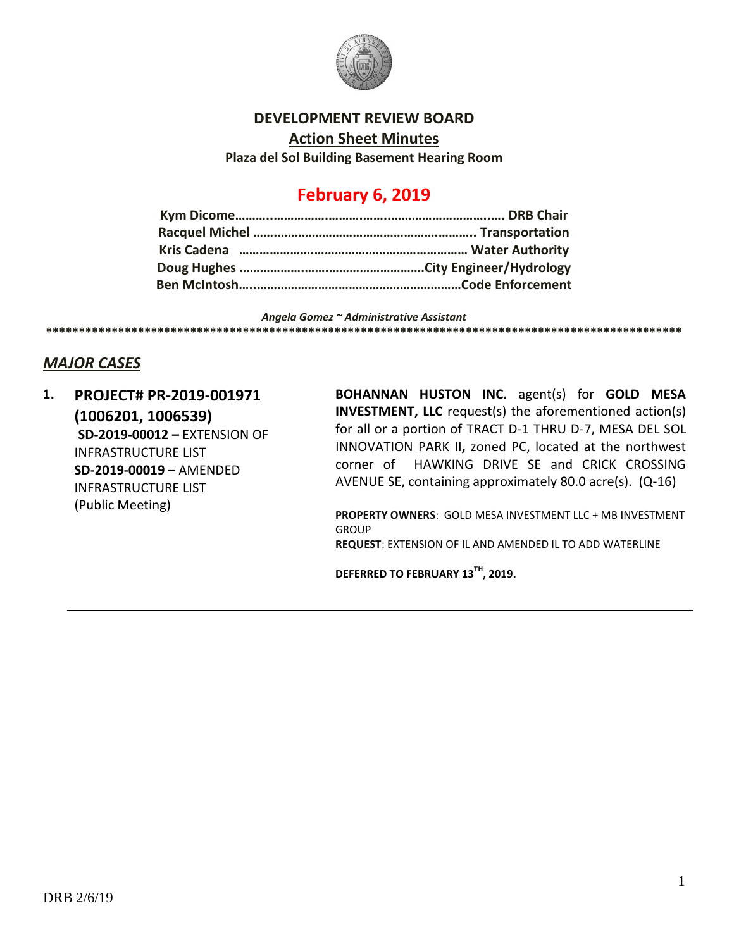

#### **DEVELOPMENT REVIEW BOARD**

**Action Sheet Minutes**

**Plaza del Sol Building Basement Hearing Room**

# **February 6, 2019**

*Angela Gomez ~ Administrative Assistant* **\*\*\*\*\*\*\*\*\*\*\*\*\*\*\*\*\*\*\*\*\*\*\*\*\*\*\*\*\*\*\*\*\*\*\*\*\*\*\*\*\*\*\*\*\*\*\*\*\*\*\*\*\*\*\*\*\*\*\*\*\*\*\*\*\*\*\*\*\*\*\*\*\*\*\*\*\*\*\*\*\*\*\*\*\*\*\*\*\*\*\*\*\*\*\*\*\***

## *MAJOR CASES*

**1. PROJECT# PR-2019-001971 (1006201, 1006539) SD-2019-00012 –** EXTENSION OF INFRASTRUCTURE LIST **SD-2019-00019** – AMENDED INFRASTRUCTURE LIST (Public Meeting)

**BOHANNAN HUSTON INC.** agent(s) for **GOLD MESA INVESTMENT, LLC** request(s) the aforementioned action(s) for all or a portion of TRACT D-1 THRU D-7, MESA DEL SOL INNOVATION PARK II**,** zoned PC, located at the northwest corner of HAWKING DRIVE SE and CRICK CROSSING AVENUE SE, containing approximately 80.0 acre(s). (Q-16)

**PROPERTY OWNERS**: GOLD MESA INVESTMENT LLC + MB INVESTMENT **GROUP REQUEST**: EXTENSION OF IL AND AMENDED IL TO ADD WATERLINE

**DEFERRED TO FEBRUARY 13TH, 2019.**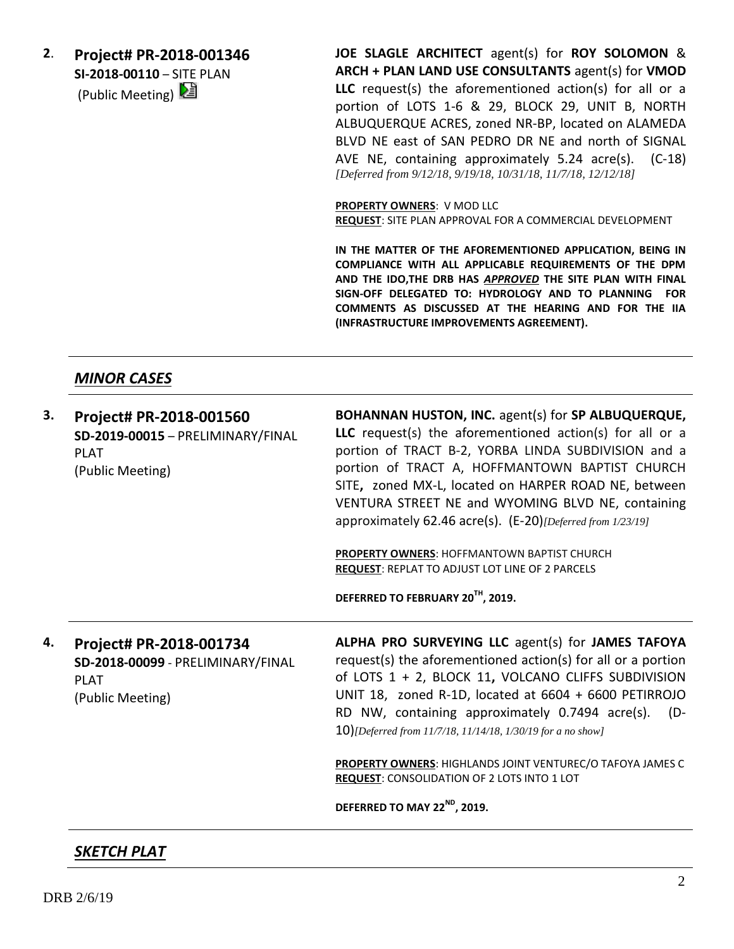**2**. **Project# PR-2018-001346 SI-2018-00110** – SITE PLAN (Public Meeting)  $\boxed{2}$ 

**JOE SLAGLE ARCHITECT** agent(s) for **ROY SOLOMON** & **ARCH + PLAN LAND USE CONSULTANTS** agent(s) for **VMOD LLC** request(s) the aforementioned action(s) for all or a portion of LOTS 1-6 & 29, BLOCK 29, UNIT B, NORTH ALBUQUERQUE ACRES, zoned NR-BP, located on ALAMEDA BLVD NE east of SAN PEDRO DR NE and north of SIGNAL AVE NE, containing approximately 5.24 acre(s). (C-18) *[Deferred from 9/12/18, 9/19/18, 10/31/18, 11/7/18, 12/12/18]*

**PROPERTY OWNERS**: V MOD LLC **REQUEST**: SITE PLAN APPROVAL FOR A COMMERCIAL DEVELOPMENT

**IN THE MATTER OF THE AFOREMENTIONED APPLICATION, BEING IN COMPLIANCE WITH ALL APPLICABLE REQUIREMENTS OF THE DPM AND THE IDO,THE DRB HAS** *APPROVED* **THE SITE PLAN WITH FINAL SIGN-OFF DELEGATED TO: HYDROLOGY AND TO PLANNING FOR COMMENTS AS DISCUSSED AT THE HEARING AND FOR THE IIA (INFRASTRUCTURE IMPROVEMENTS AGREEMENT).**

### *MINOR CASES*

| З. | Project# PR-2018-001560<br>SD-2019-00015 - PRELIMINARY/FINAL<br><b>PLAT</b><br>(Public Meeting) | BOHANNAN HUSTON, INC. agent(s) for SP ALBUQUERQUE,<br><b>LLC</b> request(s) the aforementioned action(s) for all or a<br>portion of TRACT B-2, YORBA LINDA SUBDIVISION and a<br>portion of TRACT A, HOFFMANTOWN BAPTIST CHURCH<br>SITE, zoned MX-L, located on HARPER ROAD NE, between<br>VENTURA STREET NE and WYOMING BLVD NE, containing<br>approximately 62.46 acre(s). (E-20)[Deferred from 1/23/19] |
|----|-------------------------------------------------------------------------------------------------|-----------------------------------------------------------------------------------------------------------------------------------------------------------------------------------------------------------------------------------------------------------------------------------------------------------------------------------------------------------------------------------------------------------|
|    |                                                                                                 | <b>PROPERTY OWNERS: HOFFMANTOWN BAPTIST CHURCH</b><br><b>REQUEST: REPLAT TO ADJUST LOT LINE OF 2 PARCELS</b><br>DEFERRED TO FEBRUARY 20TH, 2019.                                                                                                                                                                                                                                                          |
| 4. | Project# PR-2018-001734<br>SD-2018-00099 - PRELIMINARY/FINAL<br><b>PLAT</b><br>(Public Meeting) | ALPHA PRO SURVEYING LLC agent(s) for JAMES TAFOYA<br>request(s) the aforementioned action(s) for all or a portion<br>of LOTS 1 + 2, BLOCK 11, VOLCANO CLIFFS SUBDIVISION<br>UNIT 18, zoned R-1D, located at 6604 + 6600 PETIRROJO<br>RD NW, containing approximately 0.7494 acre(s). (D-<br>10)[Deferred from 11/7/18, 11/14/18, 1/30/19 for a no show]                                                   |
|    |                                                                                                 | PROPERTY OWNERS: HIGHLANDS JOINT VENTUREC/O TAFOYA JAMES C<br><b>REQUEST: CONSOLIDATION OF 2 LOTS INTO 1 LOT</b><br>DEFERRED TO MAY 22 <sup>ND</sup> , 2019.                                                                                                                                                                                                                                              |

## *SKETCH PLAT*